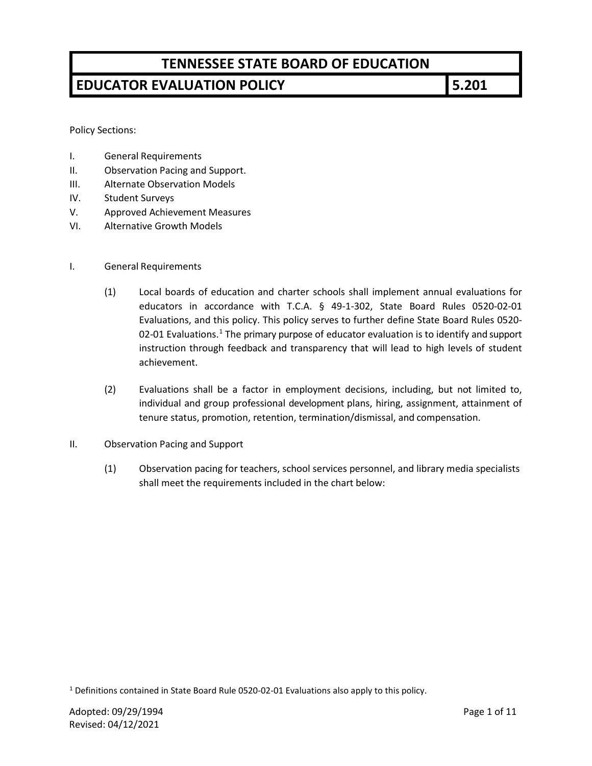## **EDUCATOR EVALUATION POLICY 5.201**

Policy Sections:

- I. General Requirements
- II. Observation Pacing and Support.
- III. Alternate Observation Models
- IV. Student Surveys
- V. Approved Achievement Measures
- VI. Alternative Growth Models
- I. General Requirements
	- (1) Local boards of education and charter schools shall implement annual evaluations for educators in accordance with T.C.A. § 49-1-302, State Board Rules 0520-02-01 Evaluations, and this policy. This policy serves to further define State Board Rules 0520- 02-0[1](#page-0-0) Evaluations.<sup>1</sup> The primary purpose of educator evaluation is to identify and support instruction through feedback and transparency that will lead to high levels of student achievement.
	- (2) Evaluations shall be a factor in employment decisions, including, but not limited to, individual and group professional development plans, hiring, assignment, attainment of tenure status, promotion, retention, termination/dismissal, and compensation.
- II. Observation Pacing and Support
	- (1) Observation pacing for teachers, school services personnel, and library media specialists shall meet the requirements included in the chart below:

<span id="page-0-0"></span><sup>&</sup>lt;sup>1</sup> Definitions contained in State Board Rule 0520-02-01 Evaluations also apply to this policy.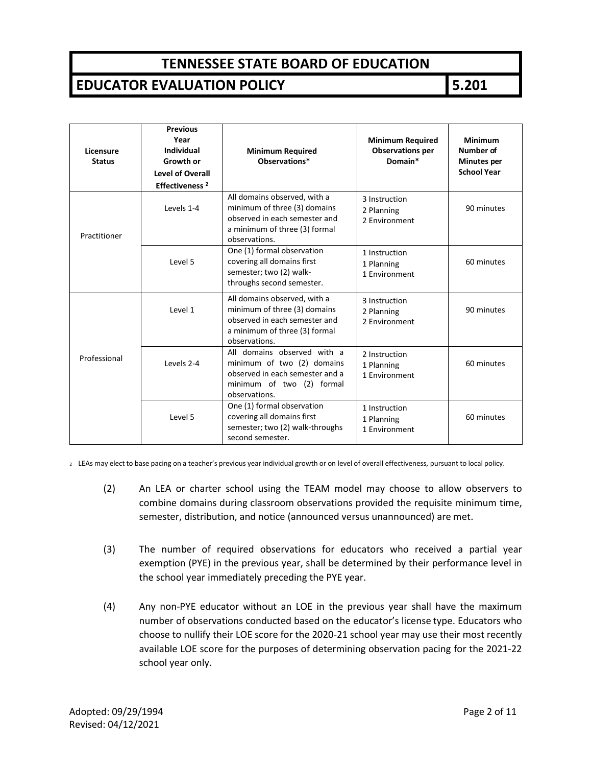#### **EDUCATOR EVALUATION POLICY 5.201**

| Licensure<br><b>Status</b> | <b>Previous</b><br>Year<br><b>Individual</b><br><b>Growth or</b><br><b>Level of Overall</b><br>Effectiveness <sup>2</sup> | <b>Minimum Required</b><br>Observations*                                                                                                        | <b>Minimum Required</b><br><b>Observations per</b><br>Domain* | <b>Minimum</b><br>Number of<br><b>Minutes per</b><br><b>School Year</b> |
|----------------------------|---------------------------------------------------------------------------------------------------------------------------|-------------------------------------------------------------------------------------------------------------------------------------------------|---------------------------------------------------------------|-------------------------------------------------------------------------|
| Practitioner               | Levels 1-4                                                                                                                | All domains observed, with a<br>minimum of three (3) domains<br>observed in each semester and<br>a minimum of three (3) formal<br>observations. | 3 Instruction<br>2 Planning<br>2 Environment                  | 90 minutes                                                              |
|                            | Level 5                                                                                                                   | One (1) formal observation<br>covering all domains first<br>semester; two (2) walk-<br>throughs second semester.                                | 1 Instruction<br>1 Planning<br>1 Environment                  | 60 minutes                                                              |
| Professional               | Level 1                                                                                                                   | All domains observed, with a<br>minimum of three (3) domains<br>observed in each semester and<br>a minimum of three (3) formal<br>observations. | 3 Instruction<br>2 Planning<br>2 Environment                  | 90 minutes                                                              |
|                            | Levels 2-4                                                                                                                | All domains observed with a<br>minimum of two (2) domains<br>observed in each semester and a<br>minimum of two (2) formal<br>observations.      | 2 Instruction<br>1 Planning<br>1 Environment                  | 60 minutes                                                              |
|                            | Level 5                                                                                                                   | One (1) formal observation<br>covering all domains first<br>semester; two (2) walk-throughs<br>second semester.                                 | 1 Instruction<br>1 Planning<br>1 Environment                  | 60 minutes                                                              |

<sup>2</sup> LEAs may elect to base pacing on a teacher's previous year individual growth or on level of overall effectiveness, pursuant to local policy.

- (2) An LEA or charter school using the TEAM model may choose to allow observers to combine domains during classroom observations provided the requisite minimum time, semester, distribution, and notice (announced versus unannounced) are met.
- (3) The number of required observations for educators who received a partial year exemption (PYE) in the previous year, shall be determined by their performance level in the school year immediately preceding the PYE year.
- (4) Any non-PYE educator without an LOE in the previous year shall have the maximum number of observations conducted based on the educator's license type. Educators who choose to nullify their LOE score for the 2020-21 school year may use their most recently available LOE score for the purposes of determining observation pacing for the 2021-22 school year only.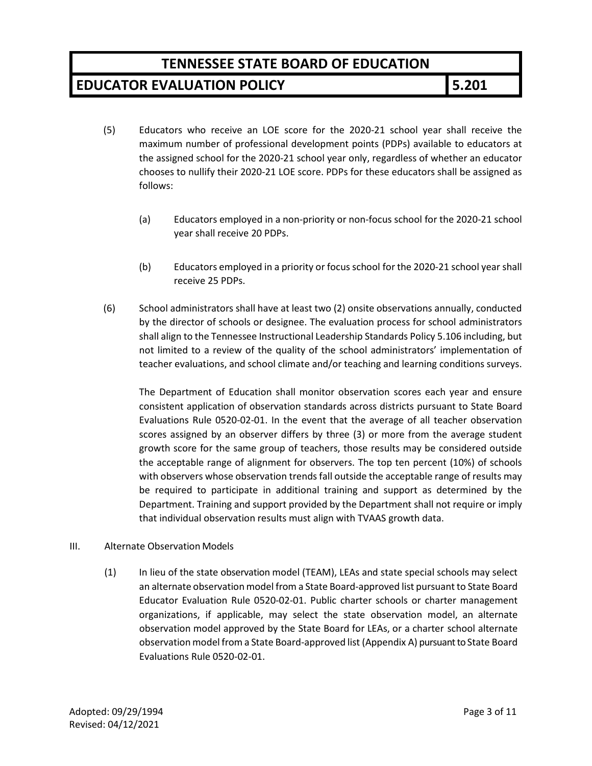#### **EDUCATOR EVALUATION POLICY 5.201**

- (5) Educators who receive an LOE score for the 2020-21 school year shall receive the maximum number of professional development points (PDPs) available to educators at the assigned school for the 2020-21 school year only, regardless of whether an educator chooses to nullify their 2020-21 LOE score. PDPs for these educators shall be assigned as follows:
	- (a) Educators employed in a non-priority or non-focus school for the 2020-21 school year shall receive 20 PDPs.
	- (b) Educators employed in a priority or focus school for the 2020-21 school year shall receive 25 PDPs.
- (6) School administrators shall have at least two (2) onsite observations annually, conducted by the director of schools or designee. The evaluation process for school administrators shall align to the Tennessee Instructional Leadership Standards Policy 5.106 including, but not limited to a review of the quality of the school administrators' implementation of teacher evaluations, and school climate and/or teaching and learning conditions surveys.

The Department of Education shall monitor observation scores each year and ensure consistent application of observation standards across districts pursuant to State Board Evaluations Rule 0520-02-01. In the event that the average of all teacher observation scores assigned by an observer differs by three (3) or more from the average student growth score for the same group of teachers, those results may be considered outside the acceptable range of alignment for observers. The top ten percent (10%) of schools with observers whose observation trends fall outside the acceptable range of results may be required to participate in additional training and support as determined by the Department. Training and support provided by the Department shall not require or imply that individual observation results must align with TVAAS growth data.

#### III. Alternate Observation Models

(1) In lieu of the state observation model (TEAM), LEAs and state special schools may select an alternate observation model from a State Board-approved list pursuant to State Board Educator Evaluation Rule 0520-02-01. Public charter schools or charter management organizations, if applicable, may select the state observation model, an alternate observation model approved by the State Board for LEAs, or a charter school alternate observationmodel from a State Board-approved list (Appendix A) pursuant to State Board Evaluations Rule 0520-02-01.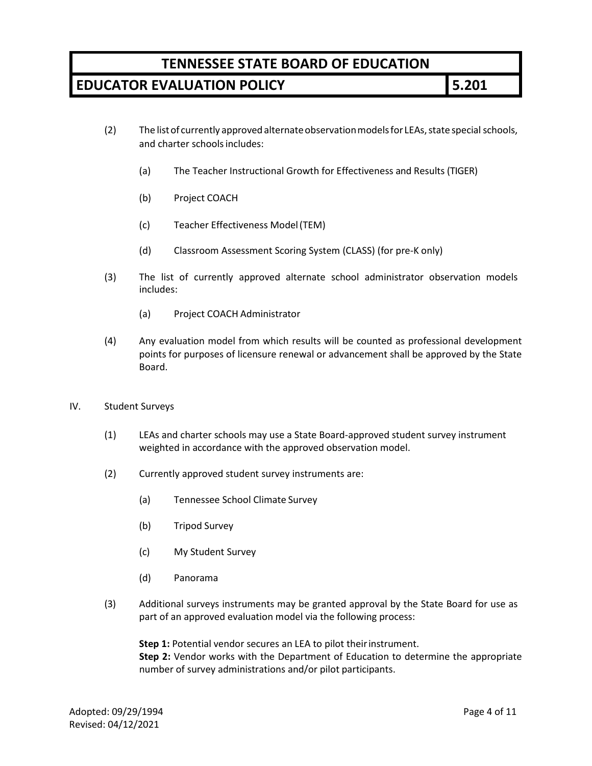## **EDUCATOR EVALUATION POLICY 5.201**

- (2) The list of currently approved alternate observation models for LEAs, state special schools, and charter schools includes:
	- (a) The Teacher Instructional Growth for Effectiveness and Results (TIGER)
	- (b) Project COACH
	- (c) Teacher Effectiveness Model(TEM)
	- (d) Classroom Assessment Scoring System (CLASS) (for pre-K only)
- (3) The list of currently approved alternate school administrator observation models includes:
	- (a) Project COACH Administrator
- (4) Any evaluation model from which results will be counted as professional development points for purposes of licensure renewal or advancement shall be approved by the State Board.
- IV. Student Surveys
	- (1) LEAs and charter schools may use a State Board-approved student survey instrument weighted in accordance with the approved observation model.
	- (2) Currently approved student survey instruments are:
		- (a) Tennessee School Climate Survey
		- (b) Tripod Survey
		- (c) My Student Survey
		- (d) Panorama
	- (3) Additional surveys instruments may be granted approval by the State Board for use as part of an approved evaluation model via the following process:

**Step 1:** Potential vendor secures an LEA to pilot their instrument.

**Step 2:** Vendor works with the Department of Education to determine the appropriate number of survey administrations and/or pilot participants.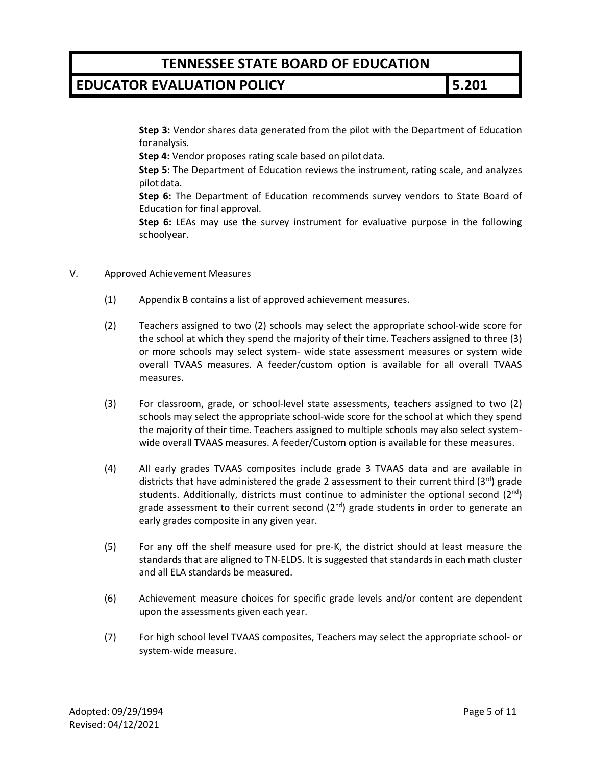#### **EDUCATOR EVALUATION POLICY 5.201**

**Step 3:** Vendor shares data generated from the pilot with the Department of Education foranalysis.

**Step 4:** Vendor proposes rating scale based on pilot data.

**Step 5:** The Department of Education reviews the instrument, rating scale, and analyzes pilot data.

**Step 6:** The Department of Education recommends survey vendors to State Board of Education for final approval.

**Step 6:** LEAs may use the survey instrument for evaluative purpose in the following schoolyear.

- V. Approved Achievement Measures
	- (1) Appendix B contains a list of approved achievement measures.
	- (2) Teachers assigned to two (2) schools may select the appropriate school-wide score for the school at which they spend the majority of their time. Teachers assigned to three (3) or more schools may select system- wide state assessment measures or system wide overall TVAAS measures. A feeder/custom option is available for all overall TVAAS measures.
	- (3) For classroom, grade, or school-level state assessments, teachers assigned to two (2) schools may select the appropriate school-wide score for the school at which they spend the majority of their time. Teachers assigned to multiple schools may also select systemwide overall TVAAS measures. A feeder/Custom option is available for these measures.
	- (4) All early grades TVAAS composites include grade 3 TVAAS data and are available in districts that have administered the grade 2 assessment to their current third  $(3<sup>rd</sup>)$  grade students. Additionally, districts must continue to administer the optional second  $(2^{nd})$ grade assessment to their current second  $(2^{nd})$  grade students in order to generate an early grades composite in any given year.
	- (5) For any off the shelf measure used for pre-K, the district should at least measure the standards that are aligned to TN-ELDS. It is suggested that standards in each math cluster and all ELA standards be measured.
	- (6) Achievement measure choices for specific grade levels and/or content are dependent upon the assessments given each year.
	- (7) For high school level TVAAS composites, Teachers may select the appropriate school- or system-wide measure.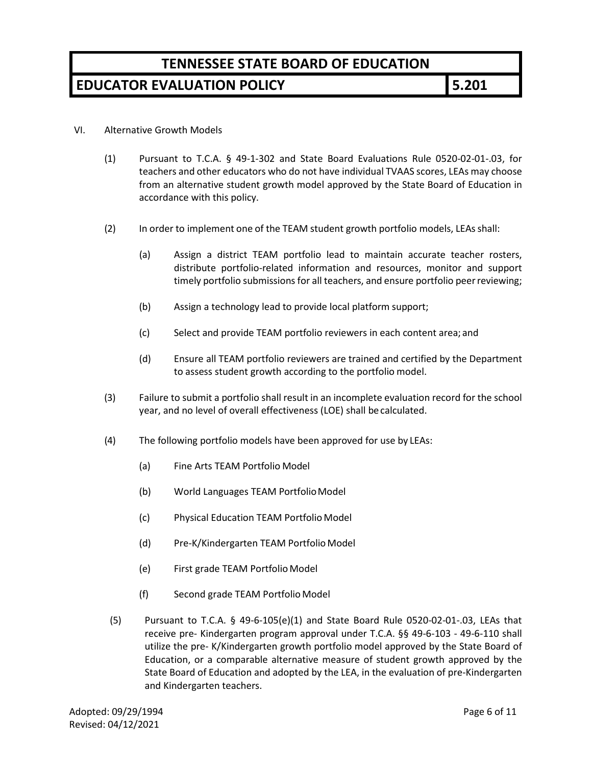### **EDUCATOR EVALUATION POLICY 5.201**

#### VI. Alternative Growth Models

- (1) Pursuant to T.C.A. § 49-1-302 and State Board Evaluations Rule 0520-02-01-.03, for teachers and other educators who do not have individual TVAAS scores, LEAs may choose from an alternative student growth model approved by the State Board of Education in accordance with this policy.
- (2) In order to implement one of the TEAM student growth portfolio models, LEAsshall:
	- (a) Assign a district TEAM portfolio lead to maintain accurate teacher rosters, distribute portfolio-related information and resources, monitor and support timely portfolio submissions for all teachers, and ensure portfolio peer reviewing;
	- (b) Assign a technology lead to provide local platform support;
	- (c) Select and provide TEAM portfolio reviewers in each content area; and
	- (d) Ensure all TEAM portfolio reviewers are trained and certified by the Department to assess student growth according to the portfolio model.
- (3) Failure to submit a portfolio shall result in an incomplete evaluation record for the school year, and no level of overall effectiveness (LOE) shall be calculated.
- (4) The following portfolio models have been approved for use by LEAs:
	- (a) Fine Arts TEAM Portfolio Model
	- (b) World Languages TEAM Portfolio Model
	- (c) Physical Education TEAM Portfolio Model
	- (d) Pre-K/Kindergarten TEAM Portfolio Model
	- (e) First grade TEAM Portfolio Model
	- (f) Second grade TEAM Portfolio Model
- (5) Pursuant to T.C.A. § 49-6-105(e)(1) and State Board Rule 0520-02-01-.03, LEAs that receive pre- Kindergarten program approval under T.C.A. §§ 49-6-103 - 49-6-110 shall utilize the pre- K/Kindergarten growth portfolio model approved by the State Board of Education, or a comparable alternative measure of student growth approved by the State Board of Education and adopted by the LEA, in the evaluation of pre-Kindergarten and Kindergarten teachers.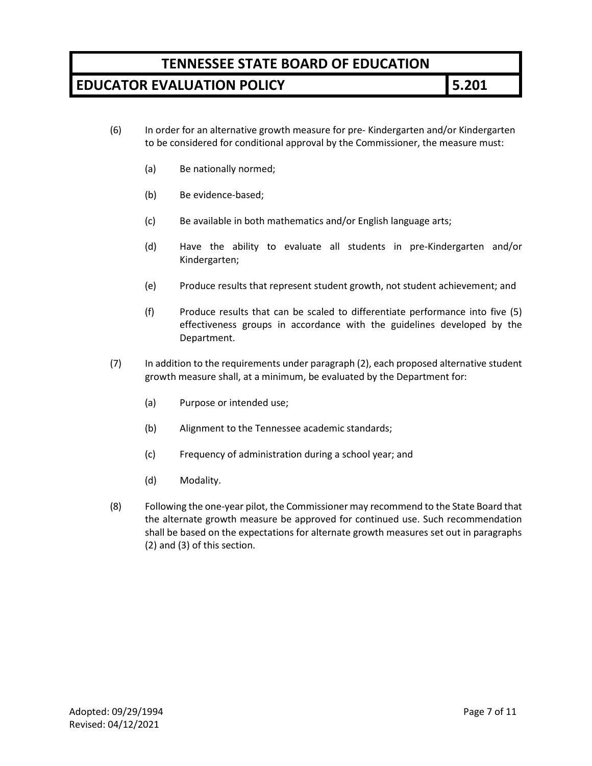### **EDUCATOR EVALUATION POLICY 5.201**

- (6) In order for an alternative growth measure for pre- Kindergarten and/or Kindergarten to be considered for conditional approval by the Commissioner, the measure must:
	- (a) Be nationally normed;
	- (b) Be evidence-based;
	- (c) Be available in both mathematics and/or English language arts;
	- (d) Have the ability to evaluate all students in pre-Kindergarten and/or Kindergarten;
	- (e) Produce results that represent student growth, not student achievement; and
	- (f) Produce results that can be scaled to differentiate performance into five (5) effectiveness groups in accordance with the guidelines developed by the Department.
- (7) In addition to the requirements under paragraph (2), each proposed alternative student growth measure shall, at a minimum, be evaluated by the Department for:
	- (a) Purpose or intended use;
	- (b) Alignment to the Tennessee academic standards;
	- (c) Frequency of administration during a school year; and
	- (d) Modality.
- (8) Following the one-year pilot, the Commissioner may recommend to the State Board that the alternate growth measure be approved for continued use. Such recommendation shall be based on the expectations for alternate growth measures set out in paragraphs (2) and (3) of this section.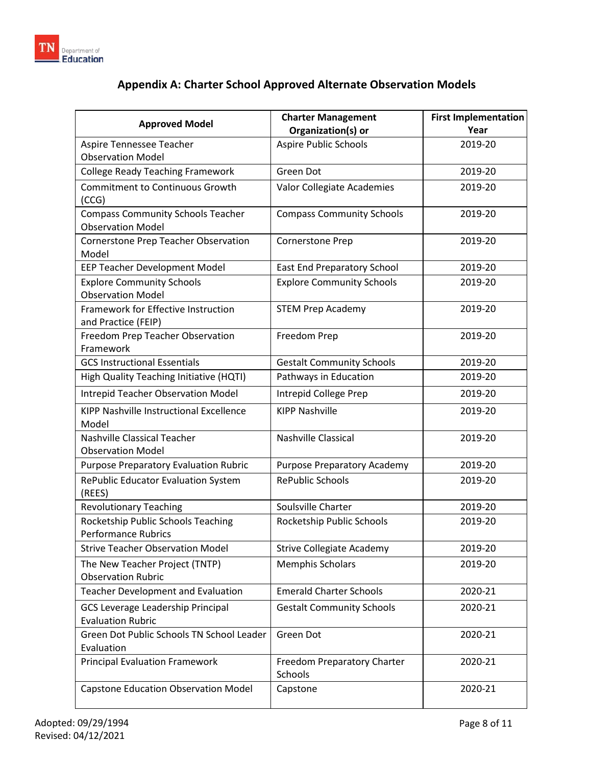

# **Appendix A: Charter School Approved Alternate Observation Models**

| <b>Approved Model</b>                                                | <b>Charter Management</b><br>Organization(s) or | <b>First Implementation</b><br>Year |
|----------------------------------------------------------------------|-------------------------------------------------|-------------------------------------|
| Aspire Tennessee Teacher                                             | <b>Aspire Public Schools</b>                    | 2019-20                             |
| <b>Observation Model</b>                                             |                                                 |                                     |
| <b>College Ready Teaching Framework</b>                              | Green Dot                                       | 2019-20                             |
| <b>Commitment to Continuous Growth</b><br>(CCG)                      | Valor Collegiate Academies                      | 2019-20                             |
| <b>Compass Community Schools Teacher</b><br><b>Observation Model</b> | <b>Compass Community Schools</b>                | 2019-20                             |
| Cornerstone Prep Teacher Observation<br>Model                        | Cornerstone Prep                                | 2019-20                             |
| EEP Teacher Development Model                                        | <b>East End Preparatory School</b>              | 2019-20                             |
| <b>Explore Community Schools</b><br><b>Observation Model</b>         | <b>Explore Community Schools</b>                | 2019-20                             |
| Framework for Effective Instruction<br>and Practice (FEIP)           | <b>STEM Prep Academy</b>                        | 2019-20                             |
| Freedom Prep Teacher Observation<br>Framework                        | Freedom Prep                                    | 2019-20                             |
| <b>GCS Instructional Essentials</b>                                  | <b>Gestalt Community Schools</b>                | 2019-20                             |
| High Quality Teaching Initiative (HQTI)                              | Pathways in Education                           | 2019-20                             |
| Intrepid Teacher Observation Model                                   | Intrepid College Prep                           | 2019-20                             |
| KIPP Nashville Instructional Excellence<br>Model                     | <b>KIPP Nashville</b>                           | 2019-20                             |
| Nashville Classical Teacher<br><b>Observation Model</b>              | <b>Nashville Classical</b>                      | 2019-20                             |
| <b>Purpose Preparatory Evaluation Rubric</b>                         | <b>Purpose Preparatory Academy</b>              | 2019-20                             |
| RePublic Educator Evaluation System<br>(REES)                        | <b>RePublic Schools</b>                         | 2019-20                             |
| <b>Revolutionary Teaching</b>                                        | Soulsville Charter                              | 2019-20                             |
| Rocketship Public Schools Teaching<br><b>Performance Rubrics</b>     | Rocketship Public Schools                       | 2019-20                             |
| <b>Strive Teacher Observation Model</b>                              | <b>Strive Collegiate Academy</b>                | 2019-20                             |
| The New Teacher Project (TNTP)<br><b>Observation Rubric</b>          | <b>Memphis Scholars</b>                         | 2019-20                             |
| <b>Teacher Development and Evaluation</b>                            | <b>Emerald Charter Schools</b>                  | 2020-21                             |
| <b>GCS Leverage Leadership Principal</b><br><b>Evaluation Rubric</b> | <b>Gestalt Community Schools</b>                | 2020-21                             |
| Green Dot Public Schools TN School Leader<br>Evaluation              | Green Dot                                       | 2020-21                             |
| <b>Principal Evaluation Framework</b>                                | Freedom Preparatory Charter<br>Schools          | 2020-21                             |
| <b>Capstone Education Observation Model</b>                          | Capstone                                        | 2020-21                             |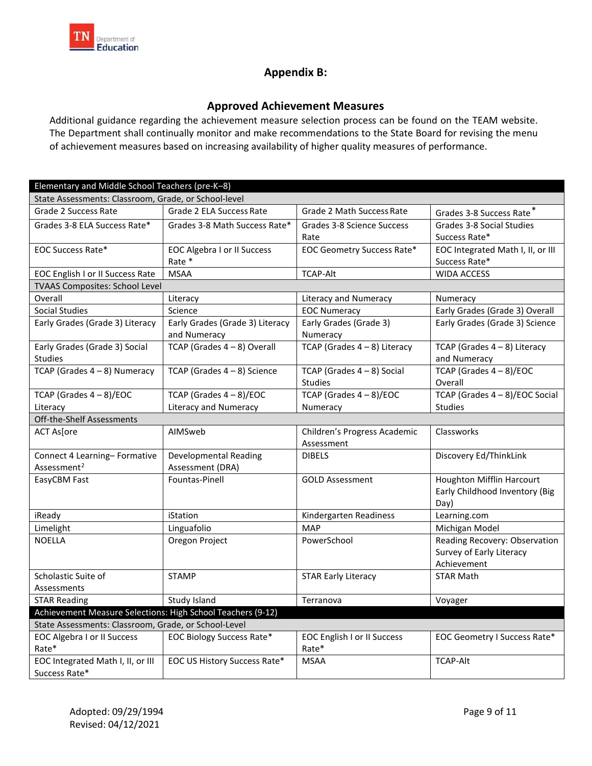

#### **Appendix B:**

#### **Approved Achievement Measures**

Additional guidance regarding the achievement measure selection process can be found on the TEAM website. The Department shall continually monitor and make recommendations to the State Board for revising the menu of achievement measures based on increasing availability of higher quality measures of performance.

<span id="page-8-0"></span>

| Elementary and Middle School Teachers (pre-K-8)             |                                    |                                    |                                   |  |
|-------------------------------------------------------------|------------------------------------|------------------------------------|-----------------------------------|--|
| State Assessments: Classroom, Grade, or School-level        |                                    |                                    |                                   |  |
| Grade 2 Success Rate                                        | Grade 2 ELA Success Rate           | Grade 2 Math Success Rate          | Grades 3-8 Success Rate*          |  |
| Grades 3-8 ELA Success Rate*                                | Grades 3-8 Math Success Rate*      | Grades 3-8 Science Success         | Grades 3-8 Social Studies         |  |
|                                                             |                                    | Rate                               | Success Rate*                     |  |
| <b>EOC Success Rate*</b>                                    | <b>EOC Algebra I or II Success</b> | EOC Geometry Success Rate*         | EOC Integrated Math I, II, or III |  |
|                                                             | Rate *                             |                                    | Success Rate*                     |  |
| <b>EOC English I or II Success Rate</b>                     | <b>MSAA</b>                        | <b>TCAP-Alt</b>                    | <b>WIDA ACCESS</b>                |  |
| TVAAS Composites: School Level                              |                                    |                                    |                                   |  |
| Overall                                                     | Literacy                           | Literacy and Numeracy              | Numeracy                          |  |
| <b>Social Studies</b>                                       | Science                            | <b>EOC Numeracy</b>                | Early Grades (Grade 3) Overall    |  |
| Early Grades (Grade 3) Literacy                             | Early Grades (Grade 3) Literacy    | Early Grades (Grade 3)             | Early Grades (Grade 3) Science    |  |
|                                                             | and Numeracy                       | Numeracy                           |                                   |  |
| Early Grades (Grade 3) Social                               | TCAP (Grades $4 - 8$ ) Overall     | TCAP (Grades $4-8$ ) Literacy      | TCAP (Grades $4-8$ ) Literacy     |  |
| <b>Studies</b>                                              |                                    |                                    | and Numeracy                      |  |
| TCAP (Grades $4-8$ ) Numeracy                               | TCAP (Grades $4-8$ ) Science       | TCAP (Grades $4-8$ ) Social        | TCAP (Grades 4 - 8)/EOC           |  |
|                                                             |                                    | <b>Studies</b>                     | Overall                           |  |
| TCAP (Grades $4 - 8$ )/EOC                                  | TCAP (Grades $4 - 8$ )/EOC         | TCAP (Grades $4 - 8$ )/EOC         | TCAP (Grades 4 - 8)/EOC Social    |  |
| Literacy                                                    | Literacy and Numeracy              | Numeracy                           | <b>Studies</b>                    |  |
| Off-the-Shelf Assessments                                   |                                    |                                    |                                   |  |
| <b>ACT As[ore</b>                                           | AIMSweb                            | Children's Progress Academic       | Classworks                        |  |
|                                                             |                                    | Assessment                         |                                   |  |
| Connect 4 Learning-Formative                                | Developmental Reading              | <b>DIBELS</b>                      | Discovery Ed/ThinkLink            |  |
| Assessment <sup>2</sup>                                     | Assessment (DRA)                   |                                    |                                   |  |
| EasyCBM Fast                                                | Fountas-Pinell                     | <b>GOLD Assessment</b>             | <b>Houghton Mifflin Harcourt</b>  |  |
|                                                             |                                    |                                    | Early Childhood Inventory (Big    |  |
|                                                             |                                    |                                    | Day)                              |  |
| iReady                                                      | iStation                           | Kindergarten Readiness             | Learning.com                      |  |
| Limelight                                                   | Linguafolio                        | <b>MAP</b>                         | Michigan Model                    |  |
| <b>NOELLA</b>                                               | Oregon Project                     | PowerSchool                        | Reading Recovery: Observation     |  |
|                                                             |                                    |                                    | Survey of Early Literacy          |  |
|                                                             |                                    |                                    | Achievement                       |  |
| Scholastic Suite of                                         | <b>STAMP</b>                       | <b>STAR Early Literacy</b>         | <b>STAR Math</b>                  |  |
| Assessments                                                 |                                    |                                    |                                   |  |
| <b>STAR Reading</b>                                         | Study Island                       | Terranova                          | Voyager                           |  |
| Achievement Measure Selections: High School Teachers (9-12) |                                    |                                    |                                   |  |
| State Assessments: Classroom, Grade, or School-Level        |                                    |                                    |                                   |  |
| <b>EOC Algebra I or II Success</b>                          | <b>EOC Biology Success Rate*</b>   | <b>EOC English I or II Success</b> | EOC Geometry I Success Rate*      |  |
| Rate*                                                       |                                    | Rate*                              |                                   |  |
| EOC Integrated Math I, II, or III                           | EOC US History Success Rate*       | <b>MSAA</b>                        | <b>TCAP-Alt</b>                   |  |
| Success Rate*                                               |                                    |                                    |                                   |  |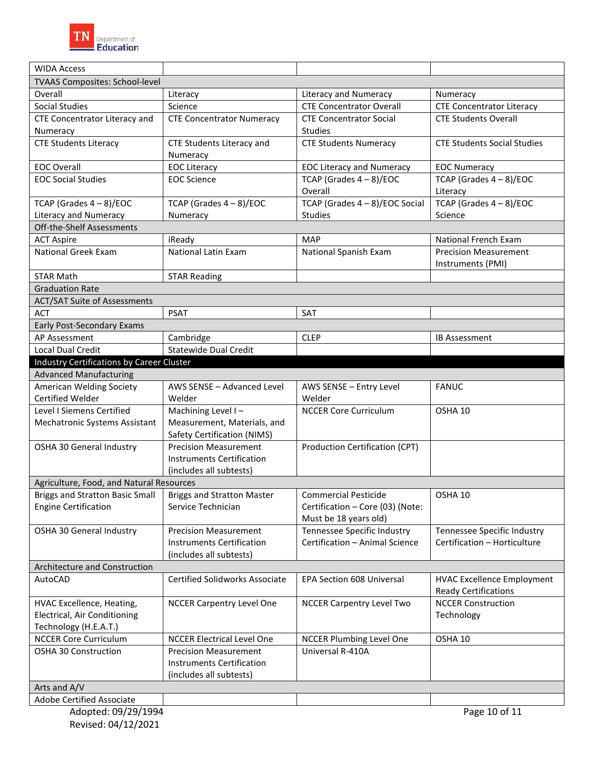

| <b>WIDA Access</b>                                           |                                       |                                  |                                    |
|--------------------------------------------------------------|---------------------------------------|----------------------------------|------------------------------------|
| TVAAS Composites: School-level                               |                                       |                                  |                                    |
| Overall                                                      | Literacy                              | Literacy and Numeracy            | Numeracy                           |
| <b>Social Studies</b>                                        | Science                               | <b>CTE Concentrator Overall</b>  | <b>CTE Concentrator Literacy</b>   |
| CTE Concentrator Literacy and                                | <b>CTE Concentrator Numeracy</b>      | <b>CTE Concentrator Social</b>   | <b>CTE Students Overall</b>        |
| Numeracy                                                     |                                       | <b>Studies</b>                   |                                    |
| <b>CTE Students Literacy</b>                                 | CTE Students Literacy and             | <b>CTE Students Numeracy</b>     | <b>CTE Students Social Studies</b> |
|                                                              | Numeracy                              |                                  |                                    |
| <b>EOC Overall</b>                                           | <b>EOC Literacy</b>                   | <b>EOC Literacy and Numeracy</b> | <b>EOC Numeracy</b>                |
| <b>EOC Social Studies</b>                                    | <b>EOC Science</b>                    | TCAP (Grades $4 - 8$ )/EOC       | TCAP (Grades $4 - 8$ )/EOC         |
|                                                              |                                       | Overall                          | Literacy                           |
| TCAP (Grades $4 - 8$ )/EOC                                   | TCAP (Grades $4 - 8$ )/EOC            | TCAP (Grades 4 - 8)/EOC Social   | TCAP (Grades $4 - 8$ )/EOC         |
| Literacy and Numeracy                                        | Numeracy                              | <b>Studies</b>                   | Science                            |
| Off-the-Shelf Assessments                                    |                                       |                                  |                                    |
| <b>ACT Aspire</b>                                            | iReady                                | <b>MAP</b>                       | National French Exam               |
| <b>National Greek Exam</b>                                   | National Latin Exam                   | National Spanish Exam            | <b>Precision Measurement</b>       |
|                                                              |                                       |                                  | Instruments (PMI)                  |
| <b>STAR Math</b>                                             | <b>STAR Reading</b>                   |                                  |                                    |
| <b>Graduation Rate</b>                                       |                                       |                                  |                                    |
| <b>ACT/SAT Suite of Assessments</b>                          |                                       |                                  |                                    |
| <b>ACT</b>                                                   | <b>PSAT</b>                           | SAT                              |                                    |
| Early Post-Secondary Exams                                   |                                       |                                  |                                    |
| AP Assessment                                                | Cambridge                             | <b>CLEP</b>                      | <b>IB Assessment</b>               |
| Local Dual Credit                                            | <b>Statewide Dual Credit</b>          |                                  |                                    |
| <b>Industry Certifications by Career Cluster</b>             |                                       |                                  |                                    |
| <b>Advanced Manufacturing</b>                                |                                       |                                  |                                    |
| American Welding Society                                     | AWS SENSE - Advanced Level            | AWS SENSE - Entry Level          | <b>FANUC</b>                       |
| Certified Welder                                             | Welder                                | Welder                           |                                    |
| Level I Siemens Certified                                    | Machining Level I-                    | <b>NCCER Core Curriculum</b>     | OSHA 10                            |
| Mechatronic Systems Assistant                                | Measurement, Materials, and           |                                  |                                    |
|                                                              | <b>Safety Certification (NIMS)</b>    |                                  |                                    |
| OSHA 30 General Industry                                     | <b>Precision Measurement</b>          | Production Certification (CPT)   |                                    |
|                                                              | <b>Instruments Certification</b>      |                                  |                                    |
|                                                              | (includes all subtests)               |                                  |                                    |
| Agriculture, Food, and Natural Resources                     |                                       |                                  |                                    |
| Briggs and Stratton Basic Small   Briggs and Stratton Master |                                       | <b>Commercial Pesticide</b>      | OSHA 10                            |
| <b>Engine Certification</b>                                  | Service Technician                    | Certification - Core (03) (Note: |                                    |
|                                                              |                                       | Must be 18 years old)            |                                    |
| OSHA 30 General Industry                                     | <b>Precision Measurement</b>          | Tennessee Specific Industry      | Tennessee Specific Industry        |
|                                                              | <b>Instruments Certification</b>      | Certification - Animal Science   | Certification - Horticulture       |
|                                                              | (includes all subtests)               |                                  |                                    |
| Architecture and Construction                                |                                       |                                  |                                    |
| AutoCAD                                                      | <b>Certified Solidworks Associate</b> | <b>EPA Section 608 Universal</b> | <b>HVAC Excellence Employment</b>  |
|                                                              |                                       |                                  | <b>Ready Certifications</b>        |
| HVAC Excellence, Heating,                                    | <b>NCCER Carpentry Level One</b>      | <b>NCCER Carpentry Level Two</b> | <b>NCCER Construction</b>          |
| Electrical, Air Conditioning                                 |                                       |                                  | Technology                         |
| Technology (H.E.A.T.)                                        |                                       |                                  |                                    |
| <b>NCCER Core Curriculum</b>                                 | <b>NCCER Electrical Level One</b>     | NCCER Plumbing Level One         | OSHA 10                            |
| OSHA 30 Construction                                         | <b>Precision Measurement</b>          | Universal R-410A                 |                                    |
|                                                              | <b>Instruments Certification</b>      |                                  |                                    |
|                                                              | (includes all subtests)               |                                  |                                    |
| Arts and A/V                                                 |                                       |                                  |                                    |
| Adobe Certified Associate                                    |                                       |                                  |                                    |
| Adopted: 09/29/1994                                          |                                       |                                  | Page 10 of 11                      |